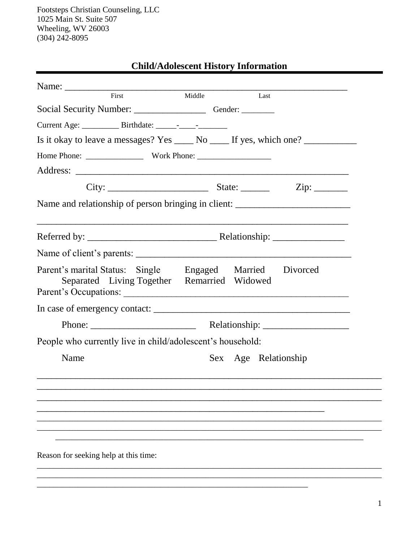# **Child/Adolescent History Information**

| First                                                                            | Middle<br>Last                                                                    |
|----------------------------------------------------------------------------------|-----------------------------------------------------------------------------------|
| Social Security Number: __________________________Gender: ______________________ |                                                                                   |
|                                                                                  |                                                                                   |
|                                                                                  | Is it okay to leave a messages? Yes _____ No _____ If yes, which one? __________  |
|                                                                                  |                                                                                   |
|                                                                                  |                                                                                   |
|                                                                                  |                                                                                   |
|                                                                                  | Name and relationship of person bringing in client: _____________________________ |
|                                                                                  | ,我们也不能会在这里,我们的人们就会在这里,我们的人们就会在这里,我们的人们就会在这里,我们的人们就会在这里,我们的人们就会在这里,我们的人们就会在这里,我们的  |
|                                                                                  |                                                                                   |
|                                                                                  |                                                                                   |
| Separated Living Together Remarried Widowed                                      | Parent's marital Status: Single Engaged Married Divorced<br>Parent's Occupations: |
|                                                                                  |                                                                                   |
|                                                                                  |                                                                                   |
| People who currently live in child/adolescent's household:                       |                                                                                   |
| Name                                                                             | Sex Age Relationship                                                              |
|                                                                                  |                                                                                   |
|                                                                                  |                                                                                   |
|                                                                                  |                                                                                   |
|                                                                                  |                                                                                   |
|                                                                                  |                                                                                   |
| Reason for seeking help at this time:                                            |                                                                                   |
|                                                                                  |                                                                                   |
|                                                                                  |                                                                                   |

\_\_\_\_\_\_\_\_\_\_\_\_\_\_\_\_\_\_\_\_\_\_\_\_\_\_\_\_\_\_\_\_\_\_\_\_\_\_\_\_\_\_\_\_\_\_\_\_\_\_\_\_\_\_\_\_\_\_\_\_\_\_\_\_\_\_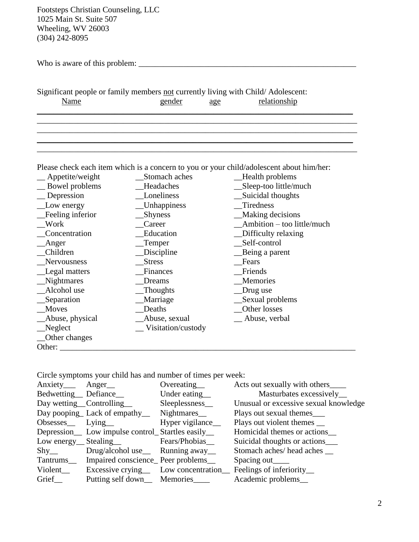| Who is aware of this problem: |  |
|-------------------------------|--|
|-------------------------------|--|

|             | Significant people or family members not currently living with Child/Adolescent: |              |
|-------------|----------------------------------------------------------------------------------|--------------|
| <u>Name</u> | gender<br>age                                                                    | relationship |
|             |                                                                                  |              |

\_\_\_\_\_\_\_\_\_\_\_\_\_\_\_\_\_\_\_\_\_\_\_\_\_\_\_\_\_\_\_\_\_\_\_\_\_\_\_\_\_\_\_\_\_\_\_\_\_\_\_\_\_\_\_\_\_\_\_\_\_\_\_\_\_\_\_\_\_\_\_\_\_\_\_\_\_\_

\_\_\_\_\_\_\_\_\_\_\_\_\_\_\_\_\_\_\_\_\_\_\_\_\_\_\_\_\_\_\_\_\_\_\_\_\_\_\_\_\_\_\_\_\_\_\_\_\_\_\_\_\_\_\_\_\_\_\_\_\_\_\_\_\_\_\_\_\_\_\_\_\_\_\_\_\_\_ \_\_\_\_\_\_\_\_\_\_\_\_\_\_\_\_\_\_\_\_\_\_\_\_\_\_\_\_\_\_\_\_\_\_\_\_\_\_\_\_\_\_\_\_\_\_\_\_\_\_\_\_\_\_\_\_\_\_\_\_\_\_\_\_\_\_\_\_\_\_\_\_\_\_\_\_\_

 $\mathcal{L}_\text{max}$  , and the contribution of the contribution of the contribution of the contribution of the contribution of the contribution of the contribution of the contribution of the contribution of the contribution of t

Please check each item which is a concern to you or your child/adolescent about him/her:

| Appetite/weight  | Stomach aches       | Health problems            |
|------------------|---------------------|----------------------------|
| Bowel problems   | Headaches           | Sleep-too little/much      |
| Depression       | Loneliness          | Suicidal thoughts          |
| Low energy       | <b>Unhappiness</b>  | Tiredness                  |
| Feeling inferior | Shyness             | <b>Making decisions</b>    |
| Work             | Career              | Ambition - too little/much |
| Concentration    | Education           | Difficulty relaxing        |
| Anger            | Temper              | Self-control               |
| Children         | Discipline          | Being a parent             |
| Nervousness      | <b>Stress</b>       | Fears                      |
| _Legal matters   | Finances            | Friends                    |
| _Nightmares      | Dreams              | Memories                   |
| Alcohol use      | Thoughts            | Drug use                   |
| _Separation      | Marriage            | Sexual problems            |
| Moves            | Deaths              | Other losses               |
| _Abuse, physical | Abuse, sexual       | _Abuse, verbal             |
| $N$ eglect       | _Visitation/custody |                            |
| Other changes    |                     |                            |
| Other:           |                     |                            |

Circle symptoms your child has and number of times per week:

| Anxiety <sub>—</sub> Anger <sub>—</sub> |                                                    | Overeating       | Acts out sexually with others_______  |
|-----------------------------------------|----------------------------------------------------|------------------|---------------------------------------|
|                                         | Bedwetting Defiance                                | Under eating_    | Masturbates excessively_              |
|                                         | Day wetting Controlling                            | Sleeplessness_   | Unusual or excessive sexual knowledge |
|                                         | Day pooping Lack of empathy                        | Nightmares__     | Plays out sexual themes____           |
|                                         | Obsesses Lying                                     | Hyper vigilance_ | Plays out violent themes __           |
|                                         | Depression Low impulse control_Startles easily_    |                  | Homicidal themes or actions           |
|                                         | Low energy Stealing Fears/Phobias                  |                  | Suicidal thoughts or actions_____     |
| $\mathrm{Shy}_{\_\!\_}$                 | Drug/alcohol use___ Running away___                |                  | Stomach aches/head aches              |
|                                         | Tantrums____ Impaired conscience_ Peer problems___ |                  | Spacing out                           |
| Violent_                                | Excessive crying______ Low concentration____       |                  | Feelings of inferiority_              |
| Grief                                   | Putting self down___ Memories_____                 |                  | Academic problems_                    |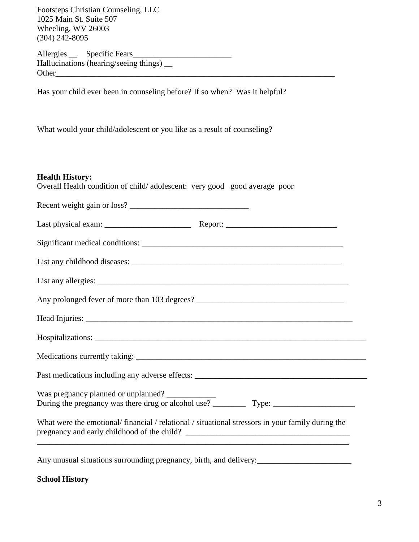Allergies \_\_ Specific Fears\_\_\_\_\_\_\_\_\_\_\_\_\_\_\_\_\_\_\_\_\_\_\_\_ Hallucinations (hearing/seeing things) \_\_ Other\_\_\_\_\_\_\_\_\_\_\_\_\_\_\_\_\_\_\_\_\_\_\_\_\_\_\_\_\_\_\_\_\_\_\_\_\_\_\_\_\_\_\_\_\_\_\_\_\_\_\_\_\_\_\_\_\_\_\_\_\_\_\_\_\_\_\_\_

Has your child ever been in counseling before? If so when? Was it helpful?

What would your child/adolescent or you like as a result of counseling?

| <b>Health History:</b><br>Overall Health condition of child/adolescent: very good good average poor |  |
|-----------------------------------------------------------------------------------------------------|--|
| Recent weight gain or loss?                                                                         |  |
|                                                                                                     |  |
| Significant medical conditions:                                                                     |  |
|                                                                                                     |  |

| Any prolonged fever of more than 103 degrees? |  |
|-----------------------------------------------|--|

List any allergies: \_\_\_\_\_\_\_\_\_\_\_\_\_\_\_\_\_\_\_\_\_\_\_\_\_\_\_\_\_\_\_\_\_\_\_\_\_\_\_\_\_\_\_\_\_\_\_\_\_\_\_\_\_\_\_\_\_\_\_\_\_

Head Injuries: \_\_\_\_\_\_\_\_\_\_\_\_\_\_\_\_\_\_\_\_\_\_\_\_\_\_\_\_\_\_\_\_\_\_\_\_\_\_\_\_\_\_\_\_\_\_\_\_\_\_\_\_\_\_\_\_\_\_\_\_\_\_\_\_\_

| Medications currently taking: |  |  |
|-------------------------------|--|--|

Hospitalizations:

Past medications including any adverse effects: \_\_\_\_\_\_\_\_\_\_\_\_\_\_\_\_\_\_\_\_\_\_\_\_\_\_\_\_\_\_\_\_\_

Was pregnancy planned or unplanned? \_\_\_\_\_\_\_\_\_\_\_\_ During the pregnancy was there drug or alcohol use? \_\_\_\_\_\_\_\_ Type: \_\_\_\_\_\_\_\_\_\_\_\_\_\_\_\_\_\_\_\_

What were the emotional/ financial / relational / situational stressors in your family during the pregnancy and early childhood of the child? \_\_\_\_\_\_\_\_\_\_\_\_\_\_\_\_\_\_\_\_\_\_\_\_\_\_\_\_\_\_\_\_\_\_\_\_\_\_\_\_ \_\_\_\_\_\_\_\_\_\_\_\_\_\_\_\_\_\_\_\_\_\_\_\_\_\_\_\_\_\_\_\_\_\_\_\_\_\_\_\_\_\_\_\_\_\_\_\_\_\_\_\_\_\_\_\_\_\_\_\_\_\_\_\_\_\_\_\_\_\_\_\_\_\_\_\_

Any unusual situations surrounding pregnancy, birth, and delivery:<br>

**School History**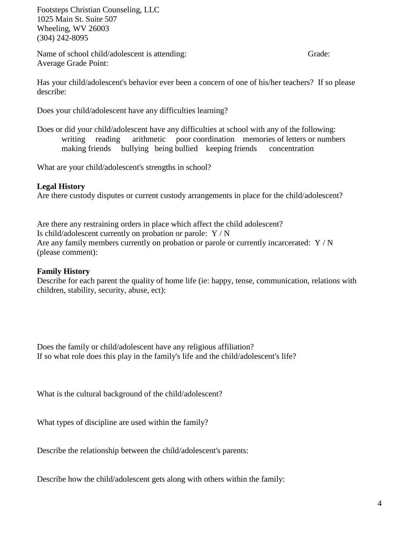Name of school child/adolescent is attending: Grade: Grade: Average Grade Point:

Has your child/adolescent's behavior ever been a concern of one of his/her teachers? If so please describe:

Does your child/adolescent have any difficulties learning?

Does or did your child/adolescent have any difficulties at school with any of the following: writing reading arithmetic poor coordination memories of letters or numbers making friends bullying being bullied keeping friends concentration

What are your child/adolescent's strengths in school?

## **Legal History**

Are there custody disputes or current custody arrangements in place for the child/adolescent?

Are there any restraining orders in place which affect the child adolescent? Is child/adolescent currently on probation or parole: Y / N Are any family members currently on probation or parole or currently incarcerated:  $Y/N$ (please comment):

## **Family History**

Describe for each parent the quality of home life (ie: happy, tense, communication, relations with children, stability, security, abuse, ect):

Does the family or child/adolescent have any religious affiliation? If so what role does this play in the family's life and the child/adolescent's life?

What is the cultural background of the child/adolescent?

What types of discipline are used within the family?

Describe the relationship between the child/adolescent's parents:

Describe how the child/adolescent gets along with others within the family: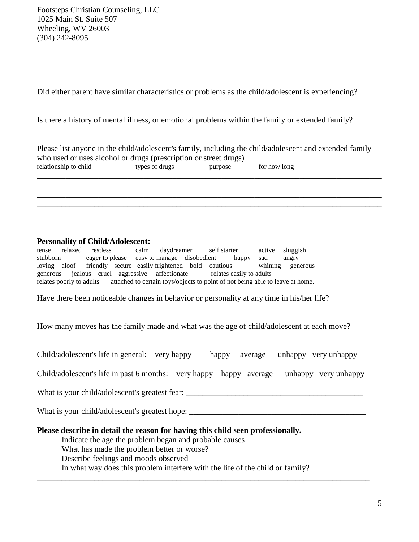Did either parent have similar characteristics or problems as the child/adolescent is experiencing?

Is there a history of mental illness, or emotional problems within the family or extended family?

|                                                                  |                |         | Please list anyone in the child/adolescent's family, including the child/adolescent and extended family |
|------------------------------------------------------------------|----------------|---------|---------------------------------------------------------------------------------------------------------|
| who used or uses alcohol or drugs (prescription or street drugs) |                |         |                                                                                                         |
| relationship to child                                            | types of drugs | purpose | for how long                                                                                            |
|                                                                  |                |         |                                                                                                         |

\_\_\_\_\_\_\_\_\_\_\_\_\_\_\_\_\_\_\_\_\_\_\_\_\_\_\_\_\_\_\_\_\_\_\_\_\_\_\_\_\_\_\_\_\_\_\_\_\_\_\_\_\_\_\_\_\_\_\_\_\_\_\_\_\_\_\_\_\_\_\_\_\_\_\_\_\_\_\_\_\_\_\_\_ \_\_\_\_\_\_\_\_\_\_\_\_\_\_\_\_\_\_\_\_\_\_\_\_\_\_\_\_\_\_\_\_\_\_\_\_\_\_\_\_\_\_\_\_\_\_\_\_\_\_\_\_\_\_\_\_\_\_\_\_\_\_\_\_\_\_\_\_\_\_\_\_\_\_\_\_\_\_\_\_\_\_\_\_ \_\_\_\_\_\_\_\_\_\_\_\_\_\_\_\_\_\_\_\_\_\_\_\_\_\_\_\_\_\_\_\_\_\_\_\_\_\_\_\_\_\_\_\_\_\_\_\_\_\_\_\_\_\_\_\_\_\_\_\_\_\_\_\_\_\_\_\_\_\_\_\_\_\_\_\_\_\_\_\_\_\_\_\_

### **Personality of Child/Adolescent:**

tense relaxed restless calm daydreamer self starter active sluggish stubborn eager to please easy to manage disobedient happy sad angry loving aloof friendly secure easily frightened bold cautious whining generous generous jealous cruel aggressive affectionate relates easily to adults relates poorly to adults attached to certain toys/objects to point of not being able to leave at home.

\_\_\_\_\_\_\_\_\_\_\_\_\_\_\_\_\_\_\_\_\_\_\_\_\_\_\_\_\_\_\_\_\_\_\_\_\_\_\_\_\_\_\_\_\_\_\_\_\_\_\_\_\_\_\_\_\_\_\_\_\_\_\_\_\_\_\_\_\_

Have there been noticeable changes in behavior or personality at any time in his/her life?

How many moves has the family made and what was the age of child/adolescent at each move?

Child/adolescent's life in past 6 months: very happy happy average unhappy very unhappy

What is your child/adolescent's greatest fear:

What is your child/adolescent's greatest hope: \_\_\_\_\_\_\_\_\_\_\_\_\_\_\_\_\_\_\_\_\_\_\_\_\_\_\_\_\_\_\_\_\_

#### **Please describe in detail the reason for having this child seen professionally.**

Indicate the age the problem began and probable causes What has made the problem better or worse? Describe feelings and moods observed In what way does this problem interfere with the life of the child or family?

\_\_\_\_\_\_\_\_\_\_\_\_\_\_\_\_\_\_\_\_\_\_\_\_\_\_\_\_\_\_\_\_\_\_\_\_\_\_\_\_\_\_\_\_\_\_\_\_\_\_\_\_\_\_\_\_\_\_\_\_\_\_\_\_\_\_\_\_\_\_\_\_\_\_\_\_\_\_\_\_\_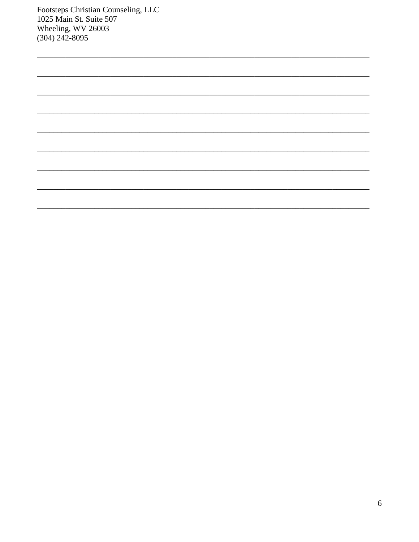| <u> 1999 - Johann John Stone, fransk politiker (d. 1989)</u> |  |  |
|--------------------------------------------------------------|--|--|
|                                                              |  |  |
|                                                              |  |  |
|                                                              |  |  |
|                                                              |  |  |
|                                                              |  |  |
|                                                              |  |  |
|                                                              |  |  |
|                                                              |  |  |
|                                                              |  |  |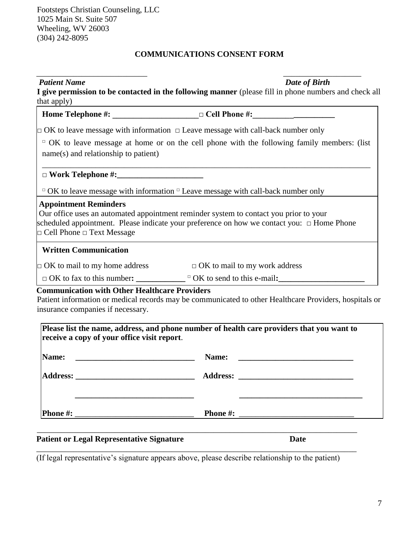# **COMMUNICATIONS CONSENT FORM**

 $\overline{\phantom{a}}$  , and the contract of the contract of the contract of the contract of the contract of the contract of the contract of the contract of the contract of the contract of the contract of the contract of the contrac

| Date of Birth                                                                                                                                                                            |
|------------------------------------------------------------------------------------------------------------------------------------------------------------------------------------------|
| I give permission to be contacted in the following manner (please fill in phone numbers and check all                                                                                    |
|                                                                                                                                                                                          |
| Home Telephone #: ______________________ □ Cell Phone #: ________________________                                                                                                        |
| $\Box$ OK to leave message with information $\Box$ Leave message with call-back number only                                                                                              |
| $\Box$ OK to leave message at home or on the cell phone with the following family members: (list                                                                                         |
| name(s) and relationship to patient)                                                                                                                                                     |
|                                                                                                                                                                                          |
| $\Box$ OK to leave message with information $\Box$ Leave message with call-back number only                                                                                              |
| Our office uses an automated appointment reminder system to contact you prior to your<br>scheduled appointment. Please indicate your preference on how we contact you: $\Box$ Home Phone |
|                                                                                                                                                                                          |
| $\Box$ OK to mail to my home address $\Box$ OK to mail to my work address                                                                                                                |
| $\Box$ OK to fax to this number: $\Box$ $\Box$ OK to send to this e-mail:                                                                                                                |
| <b>Communication with Other Healthcare Providers</b><br>Patient information or medical records may be communicated to other Healthcare Providers, hospitals or                           |
|                                                                                                                                                                                          |

| Name:                                                        | Name:                                                                                                                |
|--------------------------------------------------------------|----------------------------------------------------------------------------------------------------------------------|
| <u> 1980 - Andrea Barbara, política española (h. 1980).</u>  | <u> 1980 - Jan Samuel Barbara, margaret e populazion del control del control del control de la control de la con</u> |
| Address:                                                     | <b>Address:</b>                                                                                                      |
| <u> 1989 - Johann Barbara, martxa eta batarra (h. 1989).</u> | <u> 1980 - John Stein, Amerikaansk kanton (</u>                                                                      |
|                                                              |                                                                                                                      |
|                                                              |                                                                                                                      |
| <b>Phone #:</b>                                              | <b>Phone #:</b>                                                                                                      |
|                                                              | <u> 1980 - Jan Stein Stein Stein Stein Stein Stein Stein Stein Stein Stein Stein Stein Stein Stein Stein Stein S</u> |

# **Patient or Legal Representative Signature Date**

(If legal representative's signature appears above, please describe relationship to the patient)

\_\_\_\_\_\_\_\_\_\_\_\_\_\_\_\_\_\_\_\_\_\_\_\_\_\_\_\_\_\_\_\_\_\_\_\_\_\_\_\_\_\_\_\_\_\_\_\_\_\_\_\_\_\_\_\_\_\_\_\_\_\_\_\_\_\_\_\_\_\_\_\_\_\_\_\_\_\_

\_\_\_\_\_\_\_\_\_\_\_\_\_\_\_\_\_\_\_\_\_\_\_\_\_\_\_\_\_\_\_\_\_\_\_\_\_\_\_\_\_\_\_\_\_\_\_\_\_\_\_\_\_\_\_\_\_\_\_\_\_\_\_\_\_\_\_\_\_\_\_\_\_\_\_\_\_\_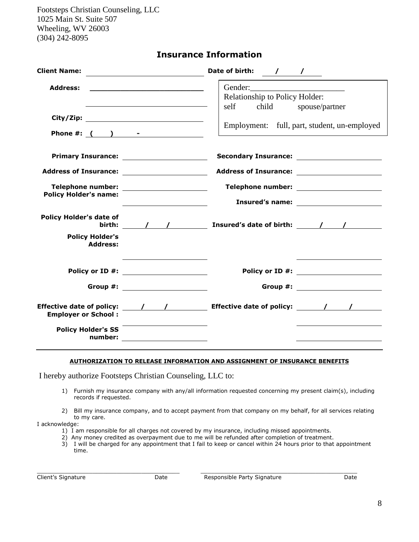| <b>Insurance Information</b> |  |  |
|------------------------------|--|--|
|------------------------------|--|--|

| <b>Client Name:</b>                                                         | Date of birth: $\sqrt{1 + \frac{1}{2}}$                                                                                   |
|-----------------------------------------------------------------------------|---------------------------------------------------------------------------------------------------------------------------|
| <b>Address:</b><br>Phone #: $($ ) - $-$                                     | Gender:<br>Relationship to Policy Holder:<br>self child<br>spouse/partner<br>Employment: full, part, student, un-employed |
| Telephone number: ________________________<br><b>Policy Holder's name:</b>  |                                                                                                                           |
| <b>Policy Holder's date of</b><br><b>Policy Holder's</b><br><b>Address:</b> | birth: $\qquad$ / $\qquad$ Insured's date of birth: $\qquad$ / $\qquad$                                                   |
| Policy or ID #: ____________________<br>Group #: ______________________     | Policy or ID #: ____________________<br>Group #: ___________________                                                      |
| <b>Employer or School:</b><br><b>Policy Holder's SS</b><br>number:          | Effective date of policy: $\qquad$ / $\qquad$ Effective date of policy: $\qquad$ / $\qquad$ /                             |

#### **AUTHORIZATION TO RELEASE INFORMATION AND ASSIGNMENT OF INSURANCE BENEFITS**

I hereby authorize Footsteps Christian Counseling, LLC to:

- 1) Furnish my insurance company with any/all information requested concerning my present claim(s), including records if requested.
- 2) Bill my insurance company, and to accept payment from that company on my behalf, for all services relating to my care.

I acknowledge:

- 1) I am responsible for all charges not covered by my insurance, including missed appointments.
- 2) Any money credited as overpayment due to me will be refunded after completion of treatment.

\_\_\_\_\_\_\_\_\_\_\_\_\_\_\_\_\_\_\_\_\_\_\_\_\_\_\_\_\_\_\_\_\_\_\_\_\_\_\_\_\_ \_\_\_\_\_\_\_\_\_\_\_\_\_\_\_\_\_\_\_\_\_\_\_\_\_\_\_\_\_\_\_\_\_\_\_\_\_\_\_\_\_\_\_\_\_

3) I will be charged for any appointment that I fail to keep or cancel within 24 hours prior to that appointment time.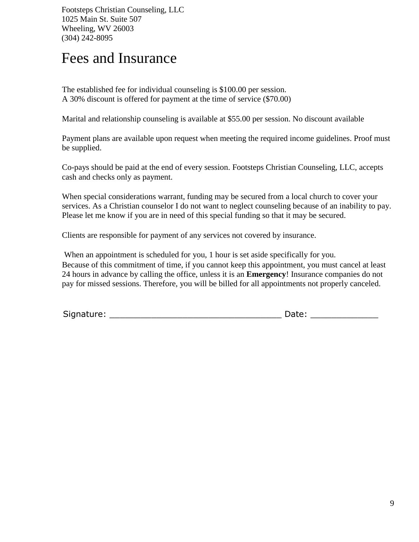# Fees and Insurance

The established fee for individual counseling is \$100.00 per session. A 30% discount is offered for payment at the time of service (\$70.00)

Marital and relationship counseling is available at \$55.00 per session. No discount available

Payment plans are available upon request when meeting the required income guidelines. Proof must be supplied.

Co-pays should be paid at the end of every session. Footsteps Christian Counseling, LLC, accepts cash and checks only as payment.

When special considerations warrant, funding may be secured from a local church to cover your services. As a Christian counselor I do not want to neglect counseling because of an inability to pay. Please let me know if you are in need of this special funding so that it may be secured.

Clients are responsible for payment of any services not covered by insurance.

When an appointment is scheduled for you, 1 hour is set aside specifically for you. Because of this commitment of time, if you cannot keep this appointment, you must cancel at least 24 hours in advance by calling the office, unless it is an **Emergency**! Insurance companies do not pay for missed sessions. Therefore, you will be billed for all appointments not properly canceled.

| Signature: | Date: |
|------------|-------|
|            |       |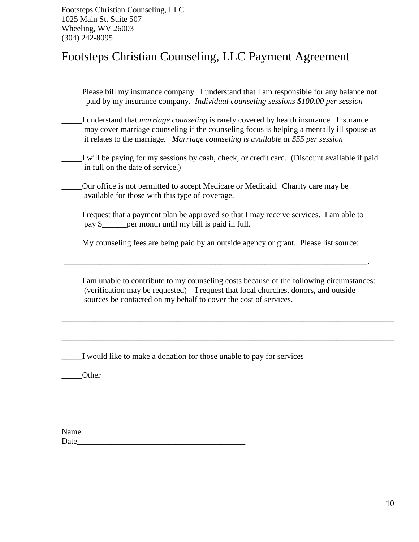# Footsteps Christian Counseling, LLC Payment Agreement

Please bill my insurance company. I understand that I am responsible for any balance not paid by my insurance company. *Individual counseling sessions \$100.00 per session* \_\_\_\_\_I understand that *marriage counseling* is rarely covered by health insurance. Insurance may cover marriage counseling if the counseling focus is helping a mentally ill spouse as it relates to the marriage*. Marriage counseling is available at \$55 per session* \_\_\_\_\_I will be paying for my sessions by cash, check, or credit card. (Discount available if paid in full on the date of service.) \_\_\_\_\_Our office is not permitted to accept Medicare or Medicaid. Charity care may be available for those with this type of coverage. \_\_\_\_\_I request that a payment plan be approved so that I may receive services. I am able to pay \$\_\_\_\_\_\_per month until my bill is paid in full. \_\_\_\_\_My counseling fees are being paid by an outside agency or grant. Please list source: \_\_\_\_\_\_\_\_\_\_\_\_\_\_\_\_\_\_\_\_\_\_\_\_\_\_\_\_\_\_\_\_\_\_\_\_\_\_\_\_\_\_\_\_\_\_\_\_\_\_\_\_\_\_\_\_\_\_\_\_\_\_\_\_\_\_\_\_\_\_\_\_\_\_. I am unable to contribute to my counseling costs because of the following circumstances:

 (verification may be requested) I request that local churches, donors, and outside sources be contacted on my behalf to cover the cost of services.

\_\_\_\_\_\_\_\_\_\_\_\_\_\_\_\_\_\_\_\_\_\_\_\_\_\_\_\_\_\_\_\_\_\_\_\_\_\_\_\_\_\_\_\_\_\_\_\_\_\_\_\_\_\_\_\_\_\_\_\_\_\_\_\_\_\_\_\_\_\_\_\_\_\_\_\_\_\_\_\_\_ \_\_\_\_\_\_\_\_\_\_\_\_\_\_\_\_\_\_\_\_\_\_\_\_\_\_\_\_\_\_\_\_\_\_\_\_\_\_\_\_\_\_\_\_\_\_\_\_\_\_\_\_\_\_\_\_\_\_\_\_\_\_\_\_\_\_\_\_\_\_\_\_\_\_\_\_\_\_\_\_\_ \_\_\_\_\_\_\_\_\_\_\_\_\_\_\_\_\_\_\_\_\_\_\_\_\_\_\_\_\_\_\_\_\_\_\_\_\_\_\_\_\_\_\_\_\_\_\_\_\_\_\_\_\_\_\_\_\_\_\_\_\_\_\_\_\_\_\_\_\_\_\_\_\_\_\_\_\_\_\_\_\_

\_\_\_\_\_I would like to make a donation for those unable to pay for services

\_\_\_\_\_Other

| Name |  |  |
|------|--|--|
| Date |  |  |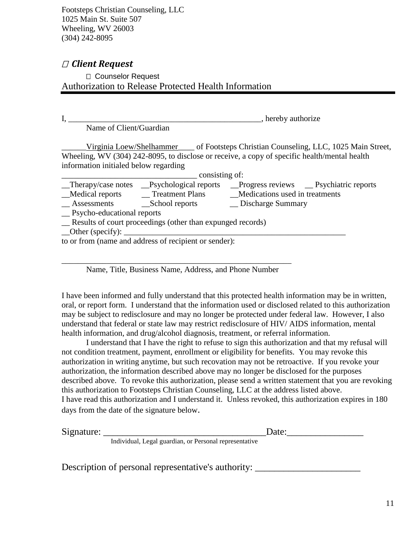# *Client Request*

Counselor Request Authorization to Release Protected Health Information

I, \_\_\_\_\_\_\_\_\_\_\_\_\_\_\_\_\_\_\_\_\_\_\_\_\_\_\_\_\_\_\_\_\_\_\_\_\_\_\_\_\_\_\_\_\_\_\_, hereby authorize

Name of Client/Guardian

\_\_\_\_\_\_Virginia Loew/Shelhammer\_\_\_\_ of Footsteps Christian Counseling, LLC, 1025 Main Street, Wheeling, WV (304) 242-8095, to disclose or receive, a copy of specific health/mental health information initialed below regarding

| consisting of:                                              |                              |                                                    |  |
|-------------------------------------------------------------|------------------------------|----------------------------------------------------|--|
| $\Box$ Therapy/case notes                                   | <b>Psychological reports</b> | $\Box$ Progress reviews $\Box$ Psychiatric reports |  |
| Medical reports                                             | _Treatment Plans             | Medications used in treatments                     |  |
| Assessments                                                 | _School reports              | _ Discharge Summary                                |  |
| __ Psycho-educational reports                               |                              |                                                    |  |
| _Results of court proceedings (other than expunged records) |                              |                                                    |  |
| $\Box$ Other (specify): $\Box$                              |                              |                                                    |  |
| to or from (name and address of recipient or sender):       |                              |                                                    |  |
|                                                             |                              |                                                    |  |

Name, Title, Business Name, Address, and Phone Number

\_\_\_\_\_\_\_\_\_\_\_\_\_\_\_\_\_\_\_\_\_\_\_\_\_\_\_\_\_\_\_\_\_\_\_\_\_\_\_\_\_\_\_\_\_\_\_\_\_\_\_\_\_\_\_\_

I have been informed and fully understand that this protected health information may be in written, oral, or report form. I understand that the information used or disclosed related to this authorization may be subject to redisclosure and may no longer be protected under federal law. However, I also understand that federal or state law may restrict redisclosure of HIV/ AIDS information, mental health information, and drug/alcohol diagnosis, treatment, or referral information.

I understand that I have the right to refuse to sign this authorization and that my refusal will not condition treatment, payment, enrollment or eligibility for benefits. You may revoke this authorization in writing anytime, but such recovation may not be retroactive. If you revoke your authorization, the information described above may no longer be disclosed for the purposes described above. To revoke this authorization, please send a written statement that you are revoking this authorization to Footsteps Christian Counseling, LLC at the address listed above. I have read this authorization and I understand it. Unless revoked, this authorization expires in 180 days from the date of the signature below.

 $Date:$ 

Individual, Legal guardian, or Personal representative

Description of personal representative's authority: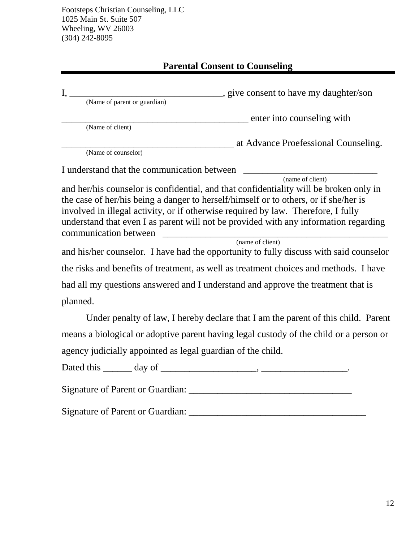# **Parental Consent to Counseling**

| give consent to have my daughter/son<br>$I, \_\_$                                      |
|----------------------------------------------------------------------------------------|
| (Name of parent or guardian)                                                           |
| _____________ enter into counseling with                                               |
| (Name of client)                                                                       |
| at Advance Proefessional Counseling.                                                   |
| (Name of counselor)                                                                    |
| I understand that the communication between                                            |
| (name of client)                                                                       |
| and her/his counselor is confidential, and that confidentiality will be broken only in |
| the case of her/his being a danger to herself/himself or to others, or if she/her is   |
| involved in illegal activity, or if otherwise required by law. Therefore, I fully      |
| understand that even I as parent will not be provided with any information regarding   |
| communication between                                                                  |
| (name of client)                                                                       |
| and his/her counselor. I have had the opportunity to fully discuss with said counselor |
| the risks and benefits of treatment, as well as treatment choices and methods. I have  |
| had all my questions answered and I understand and approve the treatment that is       |
| planned.                                                                               |
| Under penalty of law, I hereby declare that I am the parent of this child. Parent      |
| means a biological or adoptive parent having legal custody of the child or a person or |
| agency judicially appointed as legal guardian of the child.                            |
| Dated this _______ day of _                                                            |

Signature of Parent or Guardian: \_\_\_\_\_\_\_\_\_\_\_\_\_\_\_\_\_\_\_\_\_\_\_\_\_\_\_\_\_\_\_\_\_\_

Signature of Parent or Guardian: \_\_\_\_\_\_\_\_\_\_\_\_\_\_\_\_\_\_\_\_\_\_\_\_\_\_\_\_\_\_\_\_\_\_\_\_\_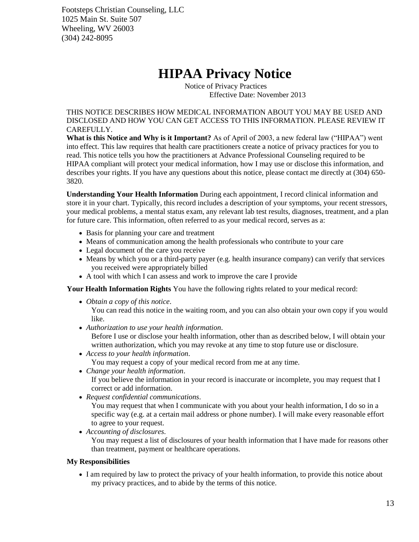# **HIPAA Privacy Notice**

Notice of Privacy Practices Effective Date: November 2013

THIS NOTICE DESCRIBES HOW MEDICAL INFORMATION ABOUT YOU MAY BE USED AND DISCLOSED AND HOW YOU CAN GET ACCESS TO THIS INFORMATION. PLEASE REVIEW IT CAREFULLY.

**What is this Notice and Why is it Important?** As of April of 2003, a new federal law ("HIPAA") went into effect. This law requires that health care practitioners create a notice of privacy practices for you to read. This notice tells you how the practitioners at Advance Professional Counseling required to be HIPAA compliant will protect your medical information, how I may use or disclose this information, and describes your rights. If you have any questions about this notice, please contact me directly at (304) 650- 3820.

**Understanding Your Health Information** During each appointment, I record clinical information and store it in your chart. Typically, this record includes a description of your symptoms, your recent stressors, your medical problems, a mental status exam, any relevant lab test results, diagnoses, treatment, and a plan for future care. This information, often referred to as your medical record, serves as a:

- Basis for planning your care and treatment
- Means of communication among the health professionals who contribute to your care
- Legal document of the care you receive
- Means by which you or a third-party payer (e.g. health insurance company) can verify that services you received were appropriately billed
- A tool with which I can assess and work to improve the care I provide

**Your Health Information Rights** You have the following rights related to your medical record:

*Obtain a copy of this notice*.

You can read this notice in the waiting room, and you can also obtain your own copy if you would like.

*Authorization to use your health information*.

Before I use or disclose your health information, other than as described below, I will obtain your written authorization, which you may revoke at any time to stop future use or disclosure.

*Access to your health information*.

You may request a copy of your medical record from me at any time.

*Change your health information*.

If you believe the information in your record is inaccurate or incomplete, you may request that I correct or add information.

*Request confidential communications*.

You may request that when I communicate with you about your health information, I do so in a specific way (e.g. at a certain mail address or phone number). I will make every reasonable effort to agree to your request.

*Accounting of disclosures*.

You may request a list of disclosures of your health information that I have made for reasons other than treatment, payment or healthcare operations.

## **My Responsibilities**

 I am required by law to protect the privacy of your health information, to provide this notice about my privacy practices, and to abide by the terms of this notice.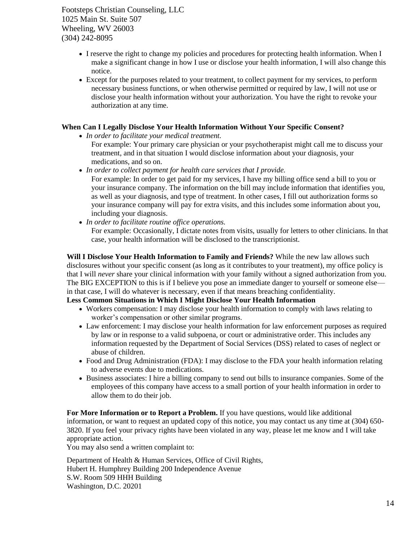- I reserve the right to change my policies and procedures for protecting health information. When I make a significant change in how I use or disclose your health information, I will also change this notice.
- Except for the purposes related to your treatment, to collect payment for my services, to perform necessary business functions, or when otherwise permitted or required by law, I will not use or disclose your health information without your authorization. You have the right to revoke your authorization at any time.

#### **When Can I Legally Disclose Your Health Information Without Your Specific Consent?**

- *In order to facilitate your medical treatment.*
	- For example: Your primary care physician or your psychotherapist might call me to discuss your treatment, and in that situation I would disclose information about your diagnosis, your medications, and so on.
- *In order to collect payment for health care services that I provide.*
	- For example: In order to get paid for my services, I have my billing office send a bill to you or your insurance company. The information on the bill may include information that identifies you, as well as your diagnosis, and type of treatment. In other cases, I fill out authorization forms so your insurance company will pay for extra visits, and this includes some information about you, including your diagnosis.
- *In order to facilitate routine office operations.*

For example: Occasionally, I dictate notes from visits, usually for letters to other clinicians. In that case, your health information will be disclosed to the transcriptionist.

**Will I Disclose Your Health Information to Family and Friends?** While the new law allows such disclosures without your specific consent (as long as it contributes to your treatment), my office policy is that I will *never* share your clinical information with your family without a signed authorization from you. The BIG EXCEPTION to this is if I believe you pose an immediate danger to yourself or someone else in that case, I will do whatever is necessary, even if that means breaching confidentiality.

## **Less Common Situations in Which I Might Disclose Your Health Information**

- Workers compensation: I may disclose your health information to comply with laws relating to worker's compensation or other similar programs.
- Law enforcement: I may disclose your health information for law enforcement purposes as required by law or in response to a valid subpoena, or court or administrative order. This includes any information requested by the Department of Social Services (DSS) related to cases of neglect or abuse of children.
- Food and Drug Administration (FDA): I may disclose to the FDA your health information relating to adverse events due to medications.
- Business associates: I hire a billing company to send out bills to insurance companies. Some of the employees of this company have access to a small portion of your health information in order to allow them to do their job.

**For More Information or to Report a Problem.** If you have questions, would like additional information, or want to request an updated copy of this notice, you may contact us any time at (304) 650- 3820. If you feel your privacy rights have been violated in any way, please let me know and I will take appropriate action.

You may also send a written complaint to:

Department of Health & Human Services, Office of Civil Rights, Hubert H. Humphrey Building 200 Independence Avenue S.W. Room 509 HHH Building Washington, D.C. 20201